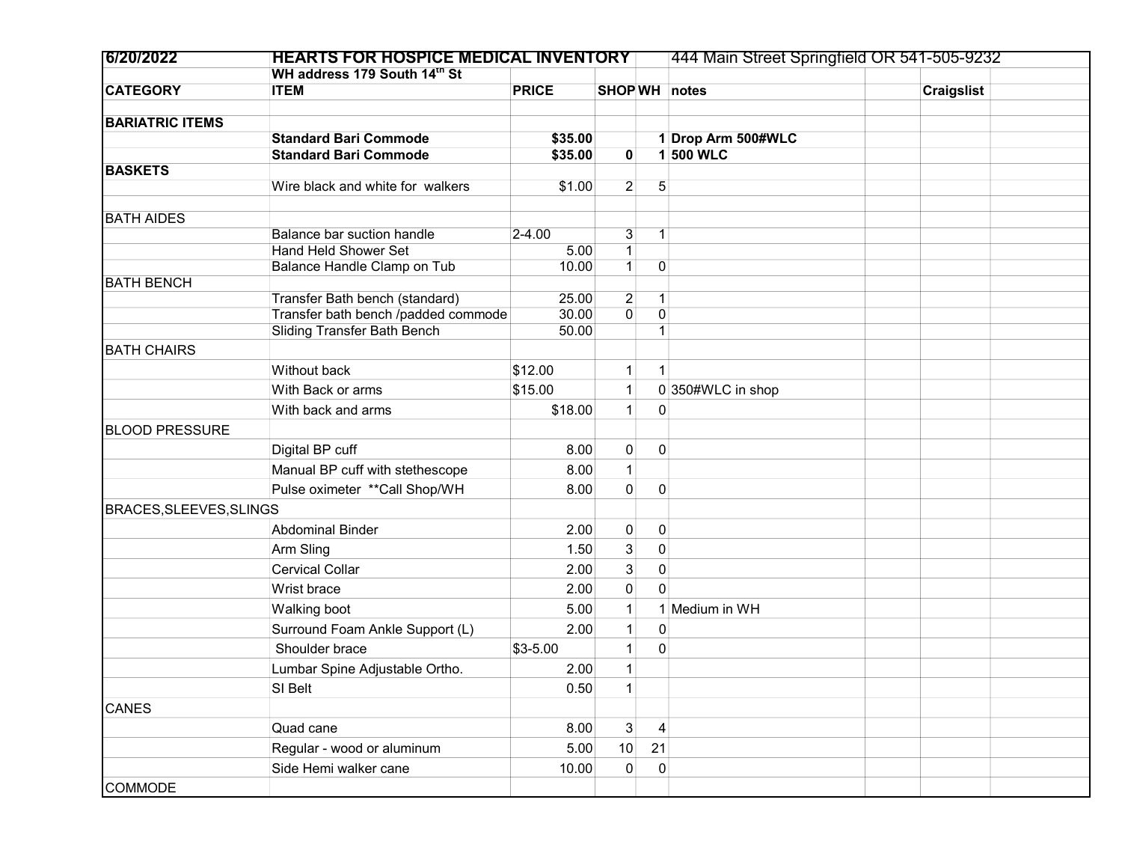| 6/20/2022               | <b>HEARTS FOR HOSPICE MEDICAL INVENTORY</b>                           |                |                |                                | 444 Main Street Springfield OR 541-505-9232 |  |                   |  |
|-------------------------|-----------------------------------------------------------------------|----------------|----------------|--------------------------------|---------------------------------------------|--|-------------------|--|
|                         | WH address 179 South 14th St                                          |                |                |                                |                                             |  |                   |  |
| <b>CATEGORY</b>         | <b>ITEM</b>                                                           | <b>PRICE</b>   | SHOP WH notes  |                                |                                             |  | <b>Craigslist</b> |  |
|                         |                                                                       |                |                |                                |                                             |  |                   |  |
| <b>BARIATRIC ITEMS</b>  | <b>Standard Bari Commode</b>                                          | \$35.00        |                |                                |                                             |  |                   |  |
|                         | <b>Standard Bari Commode</b>                                          | \$35.00        | $\mathbf{0}$   |                                | 1 Drop Arm 500#WLC<br>1 500 WLC             |  |                   |  |
| <b>BASKETS</b>          |                                                                       |                |                |                                |                                             |  |                   |  |
|                         | Wire black and white for walkers                                      | \$1.00         | $\overline{2}$ | 5                              |                                             |  |                   |  |
|                         |                                                                       |                |                |                                |                                             |  |                   |  |
| <b>BATH AIDES</b>       |                                                                       |                |                |                                |                                             |  |                   |  |
|                         | Balance bar suction handle                                            | $2 - 4.00$     | 3              | $\mathbf{1}$                   |                                             |  |                   |  |
|                         | <b>Hand Held Shower Set</b>                                           | 5.00           | $\mathbf{1}$   |                                |                                             |  |                   |  |
|                         | Balance Handle Clamp on Tub                                           | 10.00          | 1              | $\vert 0 \vert$                |                                             |  |                   |  |
| <b>BATH BENCH</b>       |                                                                       |                |                |                                |                                             |  |                   |  |
|                         | Transfer Bath bench (standard)<br>Transfer bath bench /padded commode | 25.00<br>30.00 | 2<br>0         | $\mathbf{1}$<br>$\overline{0}$ |                                             |  |                   |  |
|                         | <b>Sliding Transfer Bath Bench</b>                                    | 50.00          |                |                                |                                             |  |                   |  |
| <b>BATH CHAIRS</b>      |                                                                       |                |                |                                |                                             |  |                   |  |
|                         |                                                                       |                |                |                                |                                             |  |                   |  |
|                         | Without back                                                          | \$12.00        |                | 1                              |                                             |  |                   |  |
|                         | With Back or arms                                                     | \$15.00        |                |                                | 0350#WLC in shop                            |  |                   |  |
|                         | With back and arms                                                    | \$18.00        | 1              | $\overline{0}$                 |                                             |  |                   |  |
| <b>BLOOD PRESSURE</b>   |                                                                       |                |                |                                |                                             |  |                   |  |
|                         | Digital BP cuff                                                       | 8.00           | $\pmb{0}$      | $\mathbf{0}$                   |                                             |  |                   |  |
|                         | Manual BP cuff with stethescope                                       | 8.00           | $\mathbf{1}$   |                                |                                             |  |                   |  |
|                         | Pulse oximeter ** Call Shop/WH                                        | 8.00           | 0              | $\mathbf 0$                    |                                             |  |                   |  |
| BRACES, SLEEVES, SLINGS |                                                                       |                |                |                                |                                             |  |                   |  |
|                         | <b>Abdominal Binder</b>                                               | 2.00           | $\pmb{0}$      | $\vert 0 \vert$                |                                             |  |                   |  |
|                         |                                                                       |                |                |                                |                                             |  |                   |  |
|                         | Arm Sling                                                             | 1.50           | 3              | $\overline{0}$                 |                                             |  |                   |  |
|                         | <b>Cervical Collar</b>                                                | 2.00           | 3              | $\overline{0}$                 |                                             |  |                   |  |
|                         | Wrist brace                                                           | 2.00           | $\pmb{0}$      | $\Omega$                       |                                             |  |                   |  |
|                         | Walking boot                                                          | 5.00           |                |                                | 1 Medium in WH                              |  |                   |  |
|                         | Surround Foam Ankle Support (L)                                       | 2.00           | 1              | $\vert 0 \vert$                |                                             |  |                   |  |
|                         | Shoulder brace                                                        | $$3-5.00$      |                | $\overline{0}$                 |                                             |  |                   |  |
|                         | Lumbar Spine Adjustable Ortho.                                        | 2.00           |                |                                |                                             |  |                   |  |
|                         | SI Belt                                                               | 0.50           |                |                                |                                             |  |                   |  |
| <b>CANES</b>            |                                                                       |                |                |                                |                                             |  |                   |  |
|                         | Quad cane                                                             | 8.00           | 3 <sup>1</sup> | $\overline{\mathbf{4}}$        |                                             |  |                   |  |
|                         |                                                                       |                |                |                                |                                             |  |                   |  |
|                         | Regular - wood or aluminum                                            | 5.00           | 10             | 21                             |                                             |  |                   |  |
|                         | Side Hemi walker cane                                                 | 10.00          | $\pmb{0}$      | $\overline{0}$                 |                                             |  |                   |  |
| <b>COMMODE</b>          |                                                                       |                |                |                                |                                             |  |                   |  |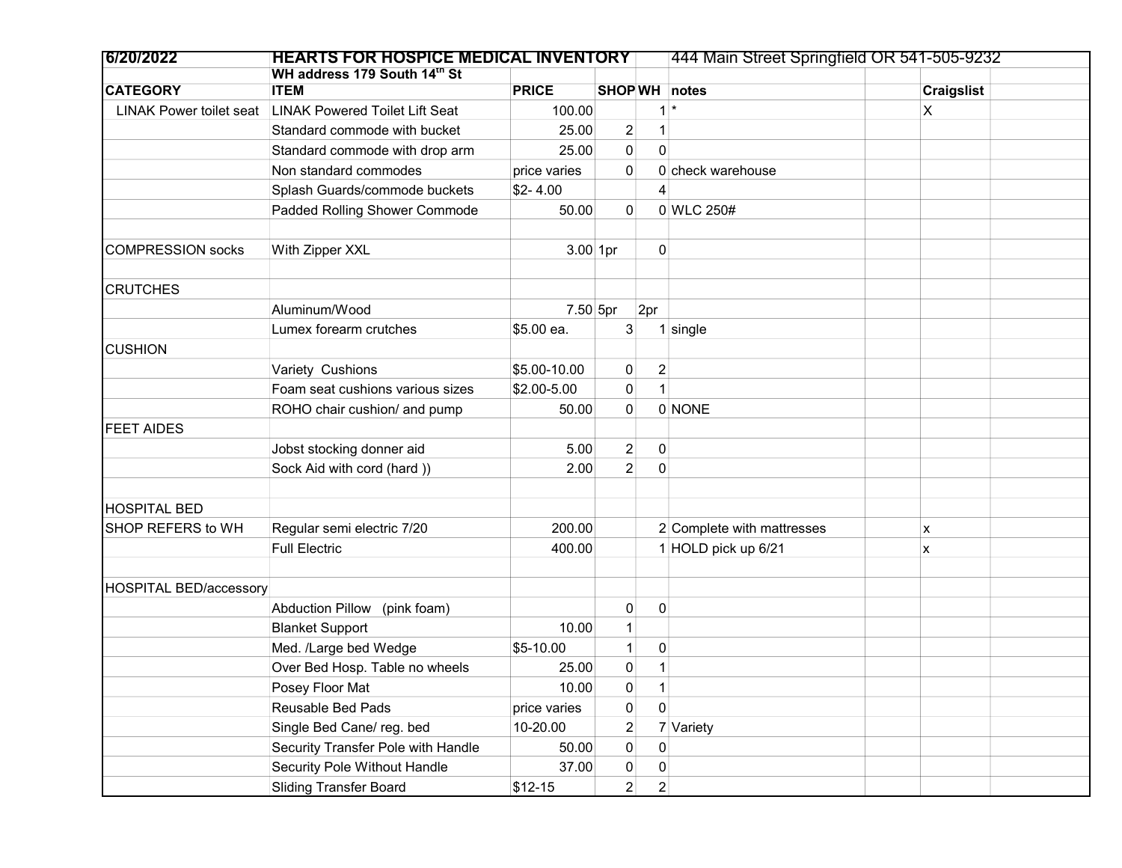| 6/20/2022                      | <b>HEARTS FOR HOSPICE MEDICAL INVENTORY</b> |              |                |                | 444 Main Street Springfield OR 541-505-9232 |                   |  |
|--------------------------------|---------------------------------------------|--------------|----------------|----------------|---------------------------------------------|-------------------|--|
|                                | WH address 179 South 14th St                |              |                |                |                                             |                   |  |
| <b>CATEGORY</b>                | <b>ITEM</b>                                 | <b>PRICE</b> |                |                | SHOP WH notes                               | <b>Craigslist</b> |  |
| <b>LINAK Power toilet seat</b> | <b>LINAK Powered Toilet Lift Seat</b>       | 100.00       |                | 1              |                                             | X                 |  |
|                                | Standard commode with bucket                | 25.00        | $\overline{2}$ | $\mathbf{1}$   |                                             |                   |  |
|                                | Standard commode with drop arm              | 25.00        | $\pmb{0}$      | 0              |                                             |                   |  |
|                                | Non standard commodes                       | price varies | 0              |                | 0 check warehouse                           |                   |  |
|                                | Splash Guards/commode buckets               | $$2-4.00$    |                | 4              |                                             |                   |  |
|                                | Padded Rolling Shower Commode               | 50.00        | $\overline{0}$ |                | 0 WLC 250#                                  |                   |  |
| COMPRESSION socks              | With Zipper XXL                             | $3.00$ 1pr   |                | 0              |                                             |                   |  |
| <b>CRUTCHES</b>                |                                             |              |                |                |                                             |                   |  |
|                                | Aluminum/Wood                               | $7.50$ 5pr   |                | 2pr            |                                             |                   |  |
|                                | Lumex forearm crutches                      | \$5.00 ea.   | 3 <sup>1</sup> |                | $1$ single                                  |                   |  |
| <b>CUSHION</b>                 |                                             |              |                |                |                                             |                   |  |
|                                | Variety Cushions                            | \$5.00-10.00 | 0              | $\overline{c}$ |                                             |                   |  |
|                                | Foam seat cushions various sizes            | \$2.00-5.00  | 0              |                |                                             |                   |  |
|                                | ROHO chair cushion/ and pump                | 50.00        | $\overline{0}$ |                | 0 NONE                                      |                   |  |
| <b>FEET AIDES</b>              |                                             |              |                |                |                                             |                   |  |
|                                | Jobst stocking donner aid                   | 5.00         | $\overline{2}$ | $\mathbf 0$    |                                             |                   |  |
|                                | Sock Aid with cord (hard))                  | 2.00         | $\overline{2}$ | $\mathbf 0$    |                                             |                   |  |
|                                |                                             |              |                |                |                                             |                   |  |
| <b>HOSPITAL BED</b>            |                                             |              |                |                |                                             |                   |  |
| SHOP REFERS to WH              | Regular semi electric 7/20                  | 200.00       |                |                | 2 Complete with mattresses                  | x                 |  |
|                                | <b>Full Electric</b>                        | 400.00       |                |                | 1 HOLD pick up 6/21                         | X                 |  |
|                                |                                             |              |                |                |                                             |                   |  |
| <b>HOSPITAL BED/accessory</b>  |                                             |              |                |                |                                             |                   |  |
|                                | Abduction Pillow (pink foam)                |              | $\pmb{0}$      | $\pmb{0}$      |                                             |                   |  |
|                                | <b>Blanket Support</b>                      | 10.00        |                |                |                                             |                   |  |
|                                | Med. /Large bed Wedge                       | \$5-10.00    |                | 0              |                                             |                   |  |
|                                | Over Bed Hosp. Table no wheels              | 25.00        | 0              |                |                                             |                   |  |
|                                | Posey Floor Mat                             | 10.00        | 0              | 1              |                                             |                   |  |
|                                | Reusable Bed Pads                           | price varies | 0              | $\overline{0}$ |                                             |                   |  |
|                                | Single Bed Cane/ reg. bed                   | 10-20.00     | $\overline{c}$ |                | 7 Variety                                   |                   |  |
|                                | Security Transfer Pole with Handle          | 50.00        | 0              | 0              |                                             |                   |  |
|                                | Security Pole Without Handle                | 37.00        | 0              | 0              |                                             |                   |  |
|                                | <b>Sliding Transfer Board</b>               | $$12-15$     | $\mathbf{2}$   | $\mathbf{2}$   |                                             |                   |  |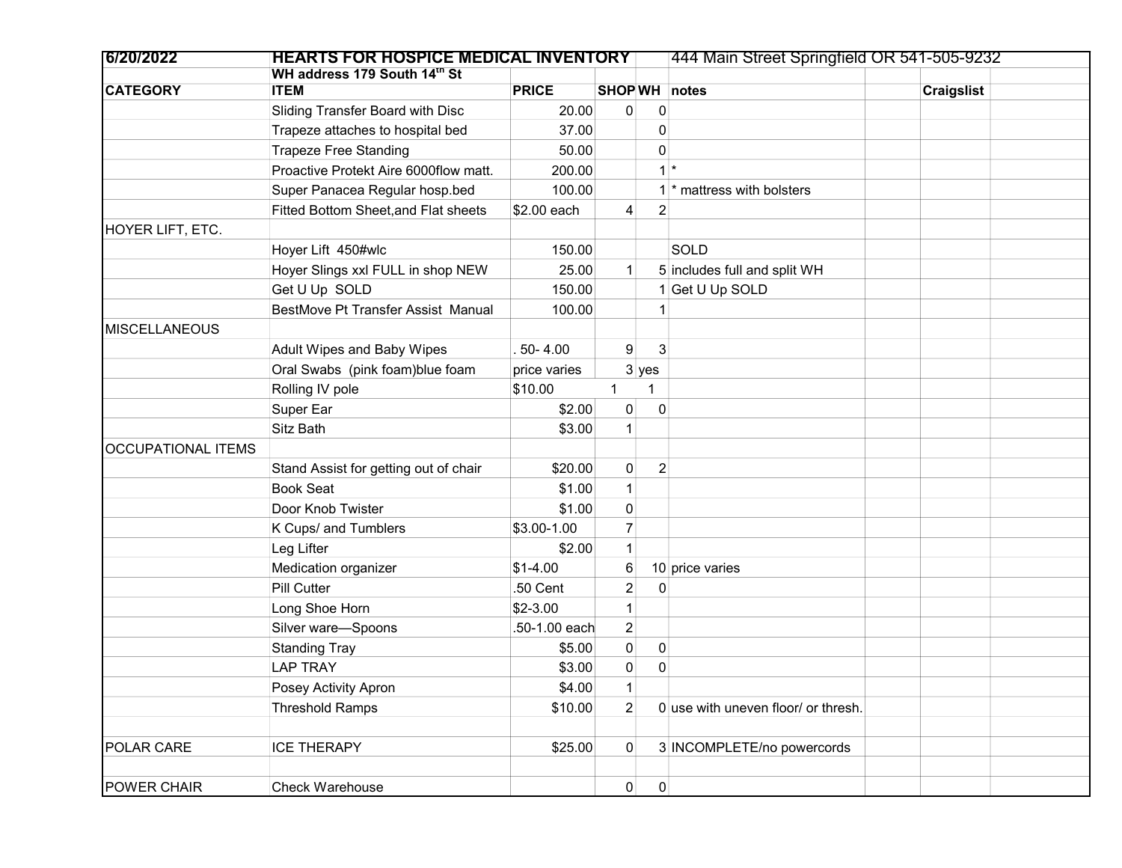| 6/20/2022                 | <b>HEARTS FOR HOSPICE MEDICAL INVENTORY</b> |               |                |                 | 444 Main Street Springfield OR 541-505-9232 |                   |  |
|---------------------------|---------------------------------------------|---------------|----------------|-----------------|---------------------------------------------|-------------------|--|
|                           | WH address 179 South 14th St                |               |                |                 |                                             |                   |  |
| <b>CATEGORY</b>           | <b>ITEM</b>                                 | <b>PRICE</b>  | SHOP WH notes  |                 |                                             | <b>Craigslist</b> |  |
|                           | Sliding Transfer Board with Disc            | 20.00         | $\mathbf 0$    | 0               |                                             |                   |  |
|                           | Trapeze attaches to hospital bed            | 37.00         |                | 0               |                                             |                   |  |
|                           | <b>Trapeze Free Standing</b>                | 50.00         |                | 0               |                                             |                   |  |
|                           | Proactive Protekt Aire 6000flow matt.       | 200.00        |                | $1^*$           |                                             |                   |  |
|                           | Super Panacea Regular hosp.bed              | 100.00        |                |                 | * mattress with bolsters                    |                   |  |
|                           | Fitted Bottom Sheet, and Flat sheets        | \$2.00 each   | 4              | $\overline{c}$  |                                             |                   |  |
| HOYER LIFT, ETC.          |                                             |               |                |                 |                                             |                   |  |
|                           | Hoyer Lift 450#wlc                          | 150.00        |                |                 | SOLD                                        |                   |  |
|                           | Hoyer Slings xxl FULL in shop NEW           | 25.00         | 1              |                 | 5 includes full and split WH                |                   |  |
|                           | Get U Up SOLD                               | 150.00        |                |                 | 1 Get U Up SOLD                             |                   |  |
|                           | BestMove Pt Transfer Assist Manual          | 100.00        |                |                 |                                             |                   |  |
| <b>MISCELLANEOUS</b>      |                                             |               |                |                 |                                             |                   |  |
|                           | <b>Adult Wipes and Baby Wipes</b>           | $.50 - 4.00$  | 9              | 3               |                                             |                   |  |
|                           | Oral Swabs (pink foam)blue foam             | price varies  |                | $3$ yes         |                                             |                   |  |
|                           | Rolling IV pole                             | \$10.00       | 1              |                 |                                             |                   |  |
|                           | Super Ear                                   | \$2.00        | $\pmb{0}$      | $\mathbf{0}$    |                                             |                   |  |
|                           | Sitz Bath                                   | \$3.00        | $\mathbf{1}$   |                 |                                             |                   |  |
| <b>OCCUPATIONAL ITEMS</b> |                                             |               |                |                 |                                             |                   |  |
|                           | Stand Assist for getting out of chair       | \$20.00       | 0              | $\overline{c}$  |                                             |                   |  |
|                           | <b>Book Seat</b>                            | \$1.00        | 1              |                 |                                             |                   |  |
|                           | Door Knob Twister                           | \$1.00        | 0              |                 |                                             |                   |  |
|                           | K Cups/ and Tumblers                        | \$3.00-1.00   | $\overline{7}$ |                 |                                             |                   |  |
|                           | Leg Lifter                                  | \$2.00        |                |                 |                                             |                   |  |
|                           | Medication organizer                        | $$1-4.00$     | 6              |                 | 10 price varies                             |                   |  |
|                           | Pill Cutter                                 | .50 Cent      | $\overline{c}$ | $\mathbf{0}$    |                                             |                   |  |
|                           | Long Shoe Horn                              | $$2-3.00$     |                |                 |                                             |                   |  |
|                           | Silver ware-Spoons                          | .50-1.00 each | $\overline{c}$ |                 |                                             |                   |  |
|                           | <b>Standing Tray</b>                        | \$5.00        | $\pmb{0}$      | 0               |                                             |                   |  |
|                           | <b>LAP TRAY</b>                             | \$3.00        | 0              | 0               |                                             |                   |  |
|                           | Posey Activity Apron                        | \$4.00        | 1 <sup>1</sup> |                 |                                             |                   |  |
|                           | <b>Threshold Ramps</b>                      | \$10.00       | $\overline{2}$ |                 | 0 use with uneven floor/ or thresh.         |                   |  |
|                           |                                             |               |                |                 |                                             |                   |  |
| POLAR CARE                | <b>ICE THERAPY</b>                          | \$25.00       | $\overline{0}$ |                 | 3 INCOMPLETE/no powercords                  |                   |  |
|                           |                                             |               |                |                 |                                             |                   |  |
| POWER CHAIR               | Check Warehouse                             |               | $\mathbf{0}$   | $\vert 0 \vert$ |                                             |                   |  |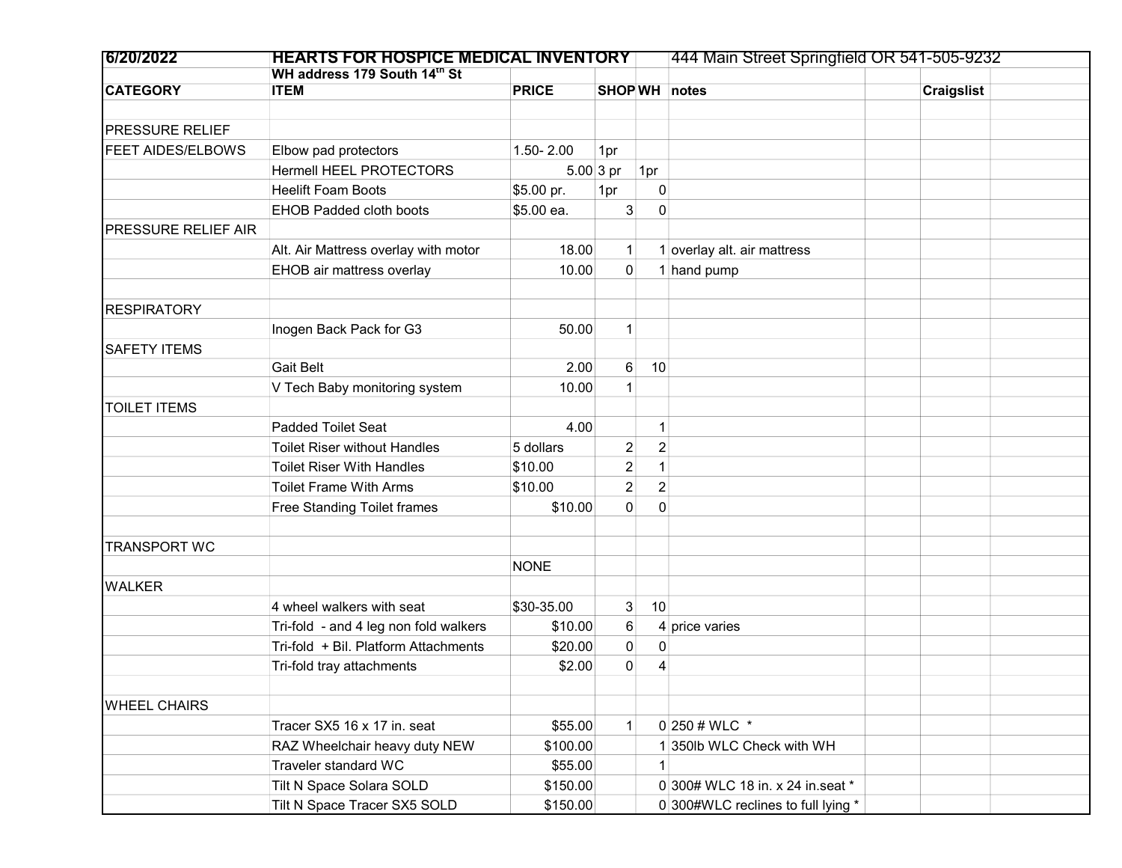| 6/20/2022                | <b>HEARTS FOR HOSPICE MEDICAL INVENTORY</b> |              |                |                | 444 Main Street Springfield OR 541-505-9232 |                   |  |
|--------------------------|---------------------------------------------|--------------|----------------|----------------|---------------------------------------------|-------------------|--|
|                          | WH address 179 South 14th St                |              |                |                |                                             |                   |  |
| <b>CATEGORY</b>          | <b>ITEM</b>                                 | <b>PRICE</b> |                |                | SHOP WH notes                               | <b>Craigslist</b> |  |
|                          |                                             |              |                |                |                                             |                   |  |
| <b>PRESSURE RELIEF</b>   |                                             |              |                |                |                                             |                   |  |
| <b>FEET AIDES/ELBOWS</b> | Elbow pad protectors                        | 1.50-2.00    | 1pr            |                |                                             |                   |  |
|                          | Hermell HEEL PROTECTORS                     |              | $5.00 3$ pr    | 1pr            |                                             |                   |  |
|                          | <b>Heelift Foam Boots</b>                   | \$5.00 pr.   | 1pr            | 0              |                                             |                   |  |
|                          | <b>EHOB Padded cloth boots</b>              | \$5.00 ea.   | 3              | $\mathbf{0}$   |                                             |                   |  |
| PRESSURE RELIEF AIR      |                                             |              |                |                |                                             |                   |  |
|                          | Alt. Air Mattress overlay with motor        | 18.00        | $\mathbf{1}$   |                | 1 overlay alt. air mattress                 |                   |  |
|                          | EHOB air mattress overlay                   | 10.00        | $\mathbf 0$    |                | 1 hand pump                                 |                   |  |
|                          |                                             |              |                |                |                                             |                   |  |
| <b>RESPIRATORY</b>       |                                             |              |                |                |                                             |                   |  |
|                          | Inogen Back Pack for G3                     | 50.00        | $\mathbf{1}$   |                |                                             |                   |  |
| <b>SAFETY ITEMS</b>      |                                             |              |                |                |                                             |                   |  |
|                          | <b>Gait Belt</b>                            | 2.00         | 6              | 10             |                                             |                   |  |
|                          | V Tech Baby monitoring system               | 10.00        | 1              |                |                                             |                   |  |
| <b>TOILET ITEMS</b>      |                                             |              |                |                |                                             |                   |  |
|                          | <b>Padded Toilet Seat</b>                   | 4.00         |                | 1              |                                             |                   |  |
|                          | <b>Toilet Riser without Handles</b>         | 5 dollars    | $\overline{c}$ | $\overline{2}$ |                                             |                   |  |
|                          | <b>Toilet Riser With Handles</b>            | \$10.00      | $\overline{c}$ | $\mathbf 1$    |                                             |                   |  |
|                          | <b>Toilet Frame With Arms</b>               | \$10.00      | $\overline{2}$ | $\overline{2}$ |                                             |                   |  |
|                          | Free Standing Toilet frames                 | \$10.00      | $\mathbf 0$    | $\mathbf{0}$   |                                             |                   |  |
|                          |                                             |              |                |                |                                             |                   |  |
| <b>TRANSPORT WC</b>      |                                             |              |                |                |                                             |                   |  |
|                          |                                             | <b>NONE</b>  |                |                |                                             |                   |  |
| <b>WALKER</b>            |                                             |              |                |                |                                             |                   |  |
|                          | 4 wheel walkers with seat                   | \$30-35.00   | 3              | 10             |                                             |                   |  |
|                          | Tri-fold - and 4 leg non fold walkers       | \$10.00      | 6              |                | 4 price varies                              |                   |  |
|                          | Tri-fold + Bil. Platform Attachments        | \$20.00      | 0              | 0              |                                             |                   |  |
|                          | Tri-fold tray attachments                   | \$2.00       | 0              | 4              |                                             |                   |  |
|                          |                                             |              |                |                |                                             |                   |  |
| <b>WHEEL CHAIRS</b>      |                                             |              |                |                |                                             |                   |  |
|                          | Tracer SX5 16 x 17 in. seat                 | \$55.00      | 1              |                | 0 250 # WLC $*$                             |                   |  |
|                          | RAZ Wheelchair heavy duty NEW               | \$100.00     |                |                | 1 350lb WLC Check with WH                   |                   |  |
|                          | Traveler standard WC                        | \$55.00      |                | 1              |                                             |                   |  |
|                          | Tilt N Space Solara SOLD                    | \$150.00     |                |                | 0 300# WLC 18 in. x 24 in. seat *           |                   |  |
|                          | Tilt N Space Tracer SX5 SOLD                | \$150.00     |                |                | 0 300#WLC reclines to full lying *          |                   |  |